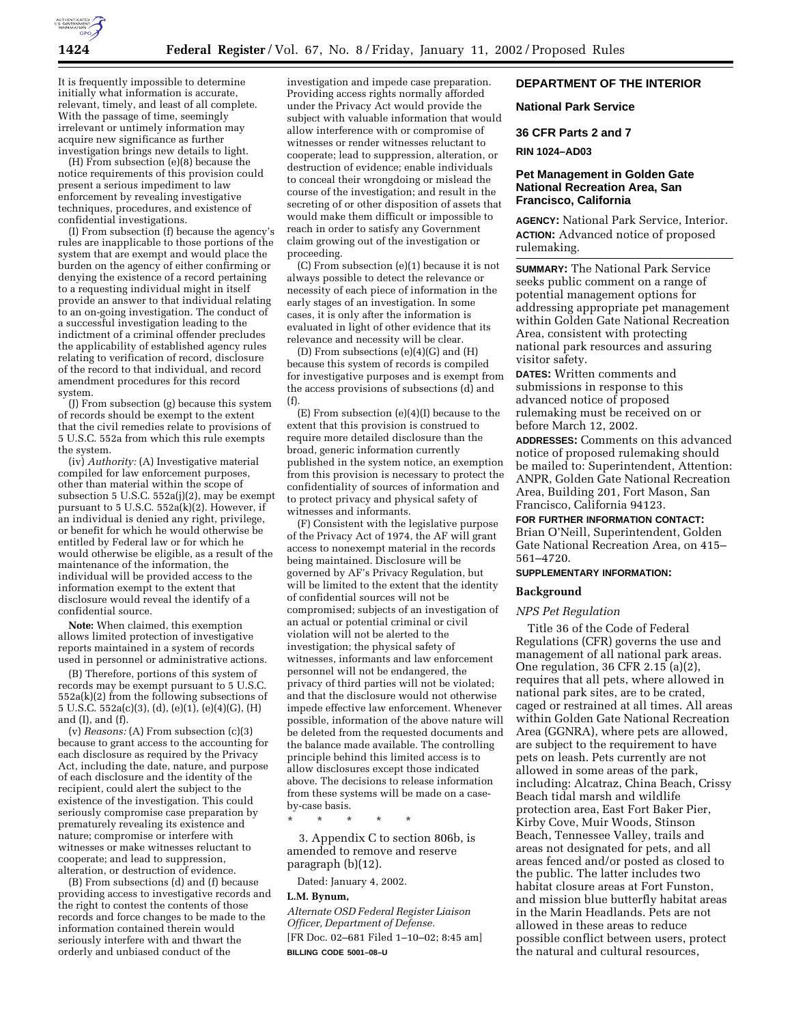

It is frequently impossible to determine initially what information is accurate, relevant, timely, and least of all complete. With the passage of time, seemingly irrelevant or untimely information may acquire new significance as further investigation brings new details to light.

(H) From subsection (e)(8) because the notice requirements of this provision could present a serious impediment to law enforcement by revealing investigative techniques, procedures, and existence of confidential investigations.

(I) From subsection (f) because the agency's rules are inapplicable to those portions of the system that are exempt and would place the burden on the agency of either confirming or denying the existence of a record pertaining to a requesting individual might in itself provide an answer to that individual relating to an on-going investigation. The conduct of a successful investigation leading to the indictment of a criminal offender precludes the applicability of established agency rules relating to verification of record, disclosure of the record to that individual, and record amendment procedures for this record system.

(J) From subsection (g) because this system of records should be exempt to the extent that the civil remedies relate to provisions of 5 U.S.C. 552a from which this rule exempts the system.

(iv) *Authority:* (A) Investigative material compiled for law enforcement purposes, other than material within the scope of subsection 5 U.S.C.  $552a(j)(2)$ , may be exempt pursuant to 5 U.S.C. 552a(k)(2). However, if an individual is denied any right, privilege, or benefit for which he would otherwise be entitled by Federal law or for which he would otherwise be eligible, as a result of the maintenance of the information, the individual will be provided access to the information exempt to the extent that disclosure would reveal the identify of a confidential source.

**Note:** When claimed, this exemption allows limited protection of investigative reports maintained in a system of records used in personnel or administrative actions.

(B) Therefore, portions of this system of records may be exempt pursuant to 5 U.S.C.  $552a(k)(2)$  from the following subsections of 5 U.S.C. 552a(c)(3), (d), (e)(1), (e)(4)(G), (H) and (I), and (f).

(v) *Reasons:* (A) From subsection (c)(3) because to grant access to the accounting for each disclosure as required by the Privacy Act, including the date, nature, and purpose of each disclosure and the identity of the recipient, could alert the subject to the existence of the investigation. This could seriously compromise case preparation by prematurely revealing its existence and nature; compromise or interfere with witnesses or make witnesses reluctant to cooperate; and lead to suppression, alteration, or destruction of evidence.

(B) From subsections (d) and (f) because providing access to investigative records and the right to contest the contents of those records and force changes to be made to the information contained therein would seriously interfere with and thwart the orderly and unbiased conduct of the

investigation and impede case preparation. Providing access rights normally afforded under the Privacy Act would provide the subject with valuable information that would allow interference with or compromise of witnesses or render witnesses reluctant to cooperate; lead to suppression, alteration, or destruction of evidence; enable individuals to conceal their wrongdoing or mislead the course of the investigation; and result in the secreting of or other disposition of assets that would make them difficult or impossible to reach in order to satisfy any Government claim growing out of the investigation or proceeding.

(C) From subsection (e)(1) because it is not always possible to detect the relevance or necessity of each piece of information in the early stages of an investigation. In some cases, it is only after the information is evaluated in light of other evidence that its relevance and necessity will be clear.

(D) From subsections (e)(4)(G) and (H) because this system of records is compiled for investigative purposes and is exempt from the access provisions of subsections (d) and (f).

(E) From subsection (e)(4)(I) because to the extent that this provision is construed to require more detailed disclosure than the broad, generic information currently published in the system notice, an exemption from this provision is necessary to protect the confidentiality of sources of information and to protect privacy and physical safety of witnesses and informants.

(F) Consistent with the legislative purpose of the Privacy Act of 1974, the AF will grant access to nonexempt material in the records being maintained. Disclosure will be governed by AF's Privacy Regulation, but will be limited to the extent that the identity of confidential sources will not be compromised; subjects of an investigation of an actual or potential criminal or civil violation will not be alerted to the investigation; the physical safety of witnesses, informants and law enforcement personnel will not be endangered, the privacy of third parties will not be violated; and that the disclosure would not otherwise impede effective law enforcement. Whenever possible, information of the above nature will be deleted from the requested documents and the balance made available. The controlling principle behind this limited access is to allow disclosures except those indicated above. The decisions to release information from these systems will be made on a caseby-case basis.

\* \* \* \* \*

3. Appendix C to section 806b, is amended to remove and reserve paragraph (b)(12).

Dated: January 4, 2002.

### **L.M. Bynum,**

*Alternate OSD Federal Register Liaison Officer, Department of Defense.* [FR Doc. 02–681 Filed 1–10–02; 8:45 am] **BILLING CODE 5001–08–U**

# **DEPARTMENT OF THE INTERIOR**

#### **National Park Service**

### **36 CFR Parts 2 and 7**

## **RIN 1024–AD03**

# **Pet Management in Golden Gate National Recreation Area, San Francisco, California**

**AGENCY:** National Park Service, Interior. **ACTION:** Advanced notice of proposed rulemaking.

**SUMMARY:** The National Park Service seeks public comment on a range of potential management options for addressing appropriate pet management within Golden Gate National Recreation Area, consistent with protecting national park resources and assuring visitor safety.

**DATES:** Written comments and submissions in response to this advanced notice of proposed rulemaking must be received on or before March 12, 2002.

**ADDRESSES:** Comments on this advanced notice of proposed rulemaking should be mailed to: Superintendent, Attention: ANPR, Golden Gate National Recreation Area, Building 201, Fort Mason, San Francisco, California 94123.

# **FOR FURTHER INFORMATION CONTACT:**

Brian O'Neill, Superintendent, Golden Gate National Recreation Area, on 415– 561–4720.

## **SUPPLEMENTARY INFORMATION:**

### **Background**

# *NPS Pet Regulation*

Title 36 of the Code of Federal Regulations (CFR) governs the use and management of all national park areas. One regulation, 36 CFR 2.15 (a)(2), requires that all pets, where allowed in national park sites, are to be crated, caged or restrained at all times. All areas within Golden Gate National Recreation Area (GGNRA), where pets are allowed, are subject to the requirement to have pets on leash. Pets currently are not allowed in some areas of the park, including: Alcatraz, China Beach, Crissy Beach tidal marsh and wildlife protection area, East Fort Baker Pier, Kirby Cove, Muir Woods, Stinson Beach, Tennessee Valley, trails and areas not designated for pets, and all areas fenced and/or posted as closed to the public. The latter includes two habitat closure areas at Fort Funston, and mission blue butterfly habitat areas in the Marin Headlands. Pets are not allowed in these areas to reduce possible conflict between users, protect the natural and cultural resources,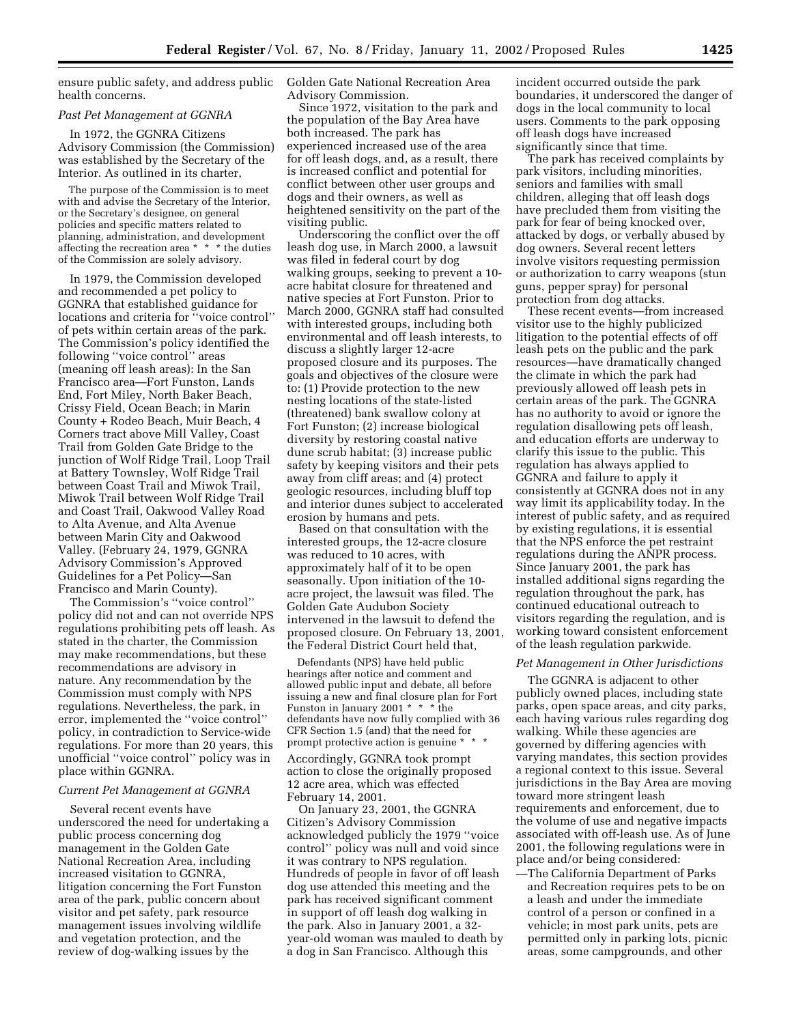ensure public safety, and address public health concerns.

### *Past Pet Management at GGNRA*

In 1972, the GGNRA Citizens Advisory Commission (the Commission) was established by the Secretary of the Interior. As outlined in its charter,

The purpose of the Commission is to meet with and advise the Secretary of the Interior, or the Secretary's designee, on general policies and specific matters related to planning, administration, and development affecting the recreation area \* \* \* the duties of the Commission are solely advisory.

In 1979, the Commission developed and recommended a pet policy to GGNRA that established guidance for locations and criteria for ''voice control'' of pets within certain areas of the park. The Commission's policy identified the following ''voice control'' areas (meaning off leash areas): In the San Francisco area—Fort Funston, Lands End, Fort Miley, North Baker Beach, Crissy Field, Ocean Beach; in Marin County + Rodeo Beach, Muir Beach, 4 Corners tract above Mill Valley, Coast Trail from Golden Gate Bridge to the junction of Wolf Ridge Trail, Loop Trail at Battery Townsley, Wolf Ridge Trail between Coast Trail and Miwok Trail, Miwok Trail between Wolf Ridge Trail and Coast Trail, Oakwood Valley Road to Alta Avenue, and Alta Avenue between Marin City and Oakwood Valley. (February 24, 1979, GGNRA Advisory Commission's Approved Guidelines for a Pet Policy—San Francisco and Marin County).

The Commission's ''voice control'' policy did not and can not override NPS regulations prohibiting pets off leash. As stated in the charter, the Commission may make recommendations, but these recommendations are advisory in nature. Any recommendation by the Commission must comply with NPS regulations. Nevertheless, the park, in error, implemented the ''voice control'' policy, in contradiction to Service-wide regulations. For more than 20 years, this unofficial ''voice control'' policy was in place within GGNRA.

#### *Current Pet Management at GGNRA*

Several recent events have underscored the need for undertaking a public process concerning dog management in the Golden Gate National Recreation Area, including increased visitation to GGNRA, litigation concerning the Fort Funston area of the park, public concern about visitor and pet safety, park resource management issues involving wildlife and vegetation protection, and the review of dog-walking issues by the

Golden Gate National Recreation Area Advisory Commission.

Since 1972, visitation to the park and the population of the Bay Area have both increased. The park has experienced increased use of the area for off leash dogs, and, as a result, there is increased conflict and potential for conflict between other user groups and dogs and their owners, as well as heightened sensitivity on the part of the visiting public.

Underscoring the conflict over the off leash dog use, in March 2000, a lawsuit was filed in federal court by dog walking groups, seeking to prevent a 10 acre habitat closure for threatened and native species at Fort Funston. Prior to March 2000, GGNRA staff had consulted with interested groups, including both environmental and off leash interests, to discuss a slightly larger 12-acre proposed closure and its purposes. The goals and objectives of the closure were to: (1) Provide protection to the new nesting locations of the state-listed (threatened) bank swallow colony at Fort Funston; (2) increase biological diversity by restoring coastal native dune scrub habitat; (3) increase public safety by keeping visitors and their pets away from cliff areas; and (4) protect geologic resources, including bluff top and interior dunes subject to accelerated erosion by humans and pets.

Based on that consultation with the interested groups, the 12-acre closure was reduced to 10 acres, with approximately half of it to be open seasonally. Upon initiation of the 10 acre project, the lawsuit was filed. The Golden Gate Audubon Society intervened in the lawsuit to defend the proposed closure. On February 13, 2001, the Federal District Court held that,

Defendants (NPS) have held public hearings after notice and comment and allowed public input and debate, all before issuing a new and final closure plan for Fort Funston in January 2001 \* \* \* the defendants have now fully complied with 36 CFR Section 1.5 (and) that the need for prompt protective action is genuine \* \* \*

Accordingly, GGNRA took prompt action to close the originally proposed 12 acre area, which was effected February 14, 2001.

On January 23, 2001, the GGNRA Citizen's Advisory Commission acknowledged publicly the 1979 ''voice control'' policy was null and void since it was contrary to NPS regulation. Hundreds of people in favor of off leash dog use attended this meeting and the park has received significant comment in support of off leash dog walking in the park. Also in January 2001, a 32 year-old woman was mauled to death by a dog in San Francisco. Although this

incident occurred outside the park boundaries, it underscored the danger of dogs in the local community to local users. Comments to the park opposing off leash dogs have increased significantly since that time.

The park has received complaints by park visitors, including minorities, seniors and families with small children, alleging that off leash dogs have precluded them from visiting the park for fear of being knocked over, attacked by dogs, or verbally abused by dog owners. Several recent letters involve visitors requesting permission or authorization to carry weapons (stun guns, pepper spray) for personal protection from dog attacks.

These recent events—from increased visitor use to the highly publicized litigation to the potential effects of off leash pets on the public and the park resources—have dramatically changed the climate in which the park had previously allowed off leash pets in certain areas of the park. The GGNRA has no authority to avoid or ignore the regulation disallowing pets off leash, and education efforts are underway to clarify this issue to the public. This regulation has always applied to GGNRA and failure to apply it consistently at GGNRA does not in any way limit its applicability today. In the interest of public safety, and as required by existing regulations, it is essential that the NPS enforce the pet restraint regulations during the ANPR process. Since January 2001, the park has installed additional signs regarding the regulation throughout the park, has continued educational outreach to visitors regarding the regulation, and is working toward consistent enforcement of the leash regulation parkwide.

## *Pet Management in Other Jurisdictions*

The GGNRA is adjacent to other publicly owned places, including state parks, open space areas, and city parks, each having various rules regarding dog walking. While these agencies are governed by differing agencies with varying mandates, this section provides a regional context to this issue. Several jurisdictions in the Bay Area are moving toward more stringent leash requirements and enforcement, due to the volume of use and negative impacts associated with off-leash use. As of June 2001, the following regulations were in place and/or being considered:

—The California Department of Parks and Recreation requires pets to be on a leash and under the immediate control of a person or confined in a vehicle; in most park units, pets are permitted only in parking lots, picnic areas, some campgrounds, and other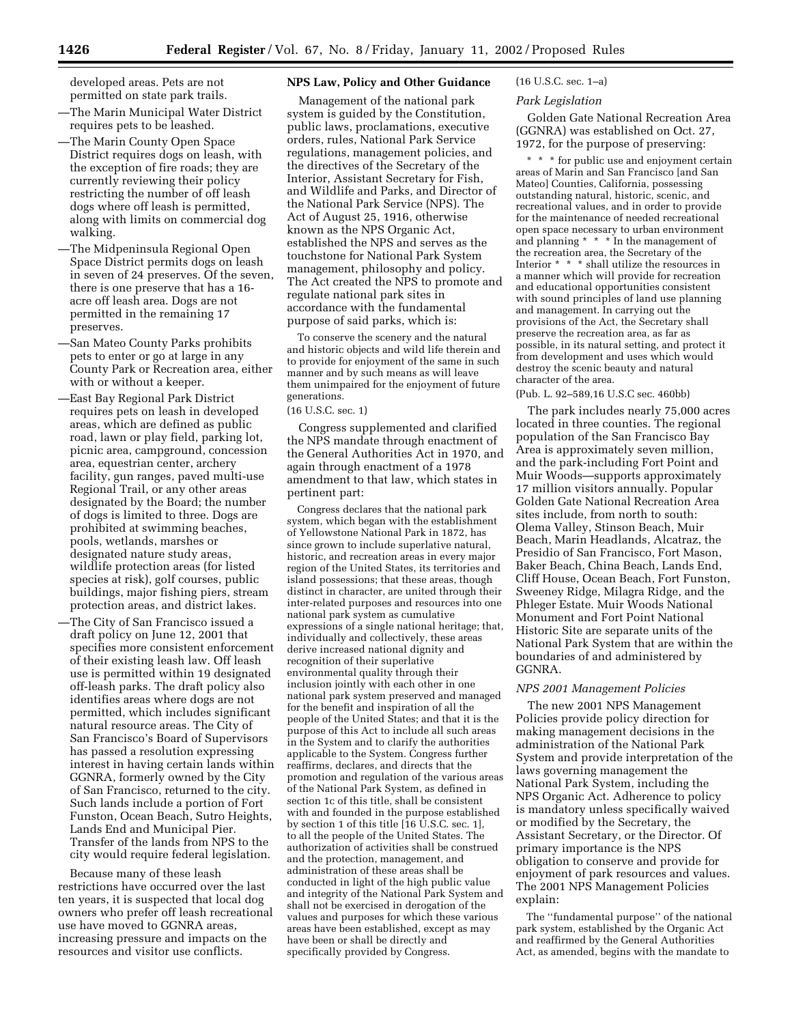developed areas. Pets are not permitted on state park trails.

- —The Marin Municipal Water District requires pets to be leashed.
- —The Marin County Open Space District requires dogs on leash, with the exception of fire roads; they are currently reviewing their policy restricting the number of off leash dogs where off leash is permitted, along with limits on commercial dog walking.
- —The Midpeninsula Regional Open Space District permits dogs on leash in seven of 24 preserves. Of the seven, there is one preserve that has a 16 acre off leash area. Dogs are not permitted in the remaining 17 preserves.
- —San Mateo County Parks prohibits pets to enter or go at large in any County Park or Recreation area, either with or without a keeper.
- —East Bay Regional Park District requires pets on leash in developed areas, which are defined as public road, lawn or play field, parking lot, picnic area, campground, concession area, equestrian center, archery facility, gun ranges, paved multi-use Regional Trail, or any other areas designated by the Board; the number of dogs is limited to three. Dogs are prohibited at swimming beaches, pools, wetlands, marshes or designated nature study areas, wildlife protection areas (for listed species at risk), golf courses, public buildings, major fishing piers, stream protection areas, and district lakes.
- —The City of San Francisco issued a draft policy on June 12, 2001 that specifies more consistent enforcement of their existing leash law. Off leash use is permitted within 19 designated off-leash parks. The draft policy also identifies areas where dogs are not permitted, which includes significant natural resource areas. The City of San Francisco's Board of Supervisors has passed a resolution expressing interest in having certain lands within GGNRA, formerly owned by the City of San Francisco, returned to the city. Such lands include a portion of Fort Funston, Ocean Beach, Sutro Heights, Lands End and Municipal Pier. Transfer of the lands from NPS to the city would require federal legislation.

Because many of these leash restrictions have occurred over the last ten years, it is suspected that local dog owners who prefer off leash recreational use have moved to GGNRA areas, increasing pressure and impacts on the resources and visitor use conflicts.

## **NPS Law, Policy and Other Guidance**

Management of the national park system is guided by the Constitution, public laws, proclamations, executive orders, rules, National Park Service regulations, management policies, and the directives of the Secretary of the Interior, Assistant Secretary for Fish, and Wildlife and Parks, and Director of the National Park Service (NPS). The Act of August 25, 1916, otherwise known as the NPS Organic Act, established the NPS and serves as the touchstone for National Park System management, philosophy and policy. The Act created the NPS to promote and regulate national park sites in accordance with the fundamental purpose of said parks, which is:

To conserve the scenery and the natural and historic objects and wild life therein and to provide for enjoyment of the same in such manner and by such means as will leave them unimpaired for the enjoyment of future generations.

## (16 U.S.C. sec. 1)

Congress supplemented and clarified the NPS mandate through enactment of the General Authorities Act in 1970, and again through enactment of a 1978 amendment to that law, which states in pertinent part:

Congress declares that the national park system, which began with the establishment of Yellowstone National Park in 1872, has since grown to include superlative natural, historic, and recreation areas in every major region of the United States, its territories and island possessions; that these areas, though distinct in character, are united through their inter-related purposes and resources into one national park system as cumulative expressions of a single national heritage; that, individually and collectively, these areas derive increased national dignity and recognition of their superlative environmental quality through their inclusion jointly with each other in one national park system preserved and managed for the benefit and inspiration of all the people of the United States; and that it is the purpose of this Act to include all such areas in the System and to clarify the authorities applicable to the System. Congress further reaffirms, declares, and directs that the promotion and regulation of the various areas of the National Park System, as defined in section 1c of this title, shall be consistent with and founded in the purpose established by section 1 of this title  $[16 \text{ U.S.C. sec. 1}]$ , to all the people of the United States. The authorization of activities shall be construed and the protection, management, and administration of these areas shall be conducted in light of the high public value and integrity of the National Park System and shall not be exercised in derogation of the values and purposes for which these various areas have been established, except as may have been or shall be directly and specifically provided by Congress.

### (16 U.S.C. sec. 1–a)

### *Park Legislation*

Golden Gate National Recreation Area (GGNRA) was established on Oct. 27, 1972, for the purpose of preserving:

\* \* \* for public use and enjoyment certain areas of Marin and San Francisco [and San Mateo] Counties, California, possessing outstanding natural, historic, scenic, and recreational values, and in order to provide for the maintenance of needed recreational open space necessary to urban environment and planning \* \* \* In the management of the recreation area, the Secretary of the Interior \* \* \* shall utilize the resources in a manner which will provide for recreation and educational opportunities consistent with sound principles of land use planning and management. In carrying out the provisions of the Act, the Secretary shall preserve the recreation area, as far as possible, in its natural setting, and protect it from development and uses which would destroy the scenic beauty and natural character of the area.

## (Pub. L. 92–589,16 U.S.C sec. 460bb)

The park includes nearly 75,000 acres located in three counties. The regional population of the San Francisco Bay Area is approximately seven million, and the park-including Fort Point and Muir Woods—supports approximately 17 million visitors annually. Popular Golden Gate National Recreation Area sites include, from north to south: Olema Valley, Stinson Beach, Muir Beach, Marin Headlands, Alcatraz, the Presidio of San Francisco, Fort Mason, Baker Beach, China Beach, Lands End, Cliff House, Ocean Beach, Fort Funston, Sweeney Ridge, Milagra Ridge, and the Phleger Estate. Muir Woods National Monument and Fort Point National Historic Site are separate units of the National Park System that are within the boundaries of and administered by GGNRA.

## *NPS 2001 Management Policies*

The new 2001 NPS Management Policies provide policy direction for making management decisions in the administration of the National Park System and provide interpretation of the laws governing management the National Park System, including the NPS Organic Act. Adherence to policy is mandatory unless specifically waived or modified by the Secretary, the Assistant Secretary, or the Director. Of primary importance is the NPS obligation to conserve and provide for enjoyment of park resources and values. The 2001 NPS Management Policies explain:

The ''fundamental purpose'' of the national park system, established by the Organic Act and reaffirmed by the General Authorities Act, as amended, begins with the mandate to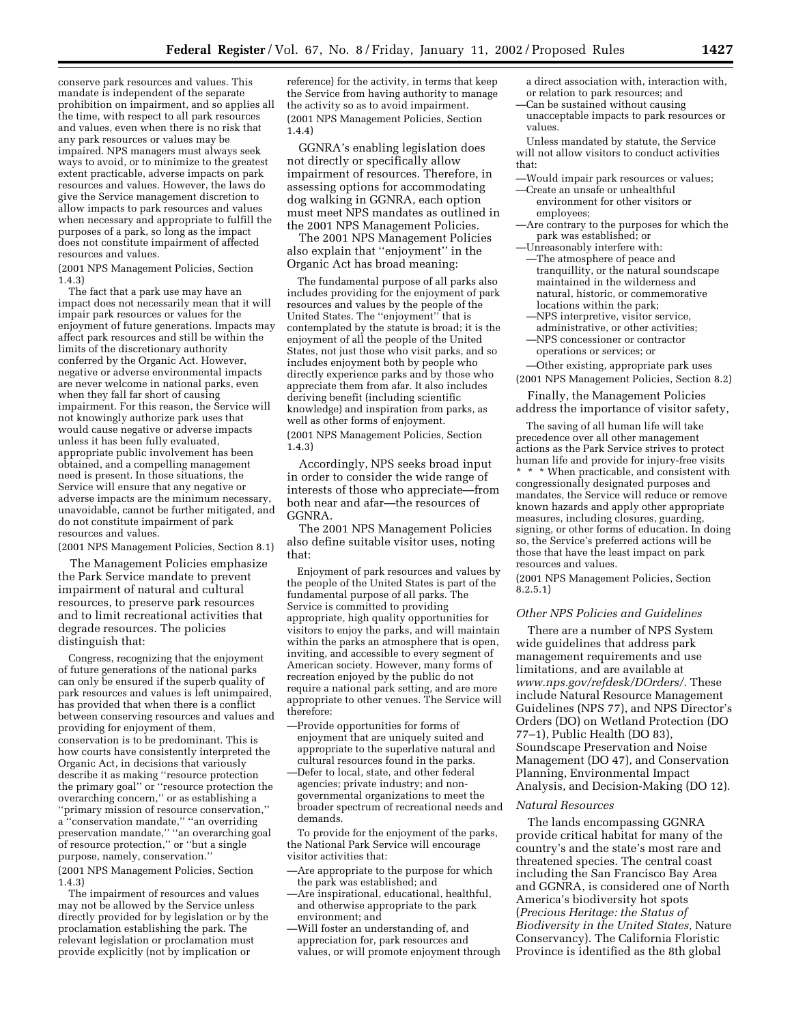conserve park resources and values. This mandate is independent of the separate prohibition on impairment, and so applies all the time, with respect to all park resources and values, even when there is no risk that any park resources or values may be impaired. NPS managers must always seek ways to avoid, or to minimize to the greatest extent practicable, adverse impacts on park resources and values. However, the laws do give the Service management discretion to allow impacts to park resources and values when necessary and appropriate to fulfill the purposes of a park, so long as the impact does not constitute impairment of affected resources and values.

(2001 NPS Management Policies, Section 1.4.3)

The fact that a park use may have an impact does not necessarily mean that it will impair park resources or values for the enjoyment of future generations. Impacts may affect park resources and still be within the limits of the discretionary authority conferred by the Organic Act. However, negative or adverse environmental impacts are never welcome in national parks, even when they fall far short of causing impairment. For this reason, the Service will not knowingly authorize park uses that would cause negative or adverse impacts unless it has been fully evaluated, appropriate public involvement has been obtained, and a compelling management need is present. In those situations, the Service will ensure that any negative or adverse impacts are the minimum necessary, unavoidable, cannot be further mitigated, and do not constitute impairment of park resources and values.

(2001 NPS Management Policies, Section 8.1)

The Management Policies emphasize the Park Service mandate to prevent impairment of natural and cultural resources, to preserve park resources and to limit recreational activities that degrade resources. The policies distinguish that:

Congress, recognizing that the enjoyment of future generations of the national parks can only be ensured if the superb quality of park resources and values is left unimpaired, has provided that when there is a conflict between conserving resources and values and providing for enjoyment of them, conservation is to be predominant. This is how courts have consistently interpreted the Organic Act, in decisions that variously describe it as making ''resource protection the primary goal'' or ''resource protection the overarching concern,'' or as establishing a ''primary mission of resource conservation,'' a ''conservation mandate,'' ''an overriding preservation mandate,'' ''an overarching goal of resource protection,'' or ''but a single purpose, namely, conservation.'' (2001 NPS Management Policies, Section

1.4.3)

The impairment of resources and values may not be allowed by the Service unless directly provided for by legislation or by the proclamation establishing the park. The relevant legislation or proclamation must provide explicitly (not by implication or

reference) for the activity, in terms that keep the Service from having authority to manage the activity so as to avoid impairment. (2001 NPS Management Policies, Section 1.4.4)

GGNRA's enabling legislation does not directly or specifically allow impairment of resources. Therefore, in assessing options for accommodating dog walking in GGNRA, each option must meet NPS mandates as outlined in the 2001 NPS Management Policies.

The 2001 NPS Management Policies also explain that ''enjoyment'' in the Organic Act has broad meaning:

The fundamental purpose of all parks also includes providing for the enjoyment of park resources and values by the people of the United States. The ''enjoyment'' that is contemplated by the statute is broad; it is the enjoyment of all the people of the United States, not just those who visit parks, and so includes enjoyment both by people who directly experience parks and by those who appreciate them from afar. It also includes deriving benefit (including scientific knowledge) and inspiration from parks, as well as other forms of enjoyment. (2001 NPS Management Policies, Section 1.4.3)

Accordingly, NPS seeks broad input in order to consider the wide range of interests of those who appreciate—from both near and afar—the resources of GGNRA.

The 2001 NPS Management Policies also define suitable visitor uses, noting that:

Enjoyment of park resources and values by the people of the United States is part of the fundamental purpose of all parks. The Service is committed to providing appropriate, high quality opportunities for visitors to enjoy the parks, and will maintain within the parks an atmosphere that is open, inviting, and accessible to every segment of American society. However, many forms of recreation enjoyed by the public do not require a national park setting, and are more appropriate to other venues. The Service will therefore:

- —Provide opportunities for forms of enjoyment that are uniquely suited and appropriate to the superlative natural and cultural resources found in the parks.
- —Defer to local, state, and other federal agencies; private industry; and nongovernmental organizations to meet the broader spectrum of recreational needs and demands.

To provide for the enjoyment of the parks, the National Park Service will encourage visitor activities that:

- —Are appropriate to the purpose for which the park was established; and
- —Are inspirational, educational, healthful, and otherwise appropriate to the park environment; and
- —Will foster an understanding of, and appreciation for, park resources and values, or will promote enjoyment through
- a direct association with, interaction with, or relation to park resources; and —Can be sustained without causing
- unacceptable impacts to park resources or values.

Unless mandated by statute, the Service will not allow visitors to conduct activities that:

- —Would impair park resources or values;
- —Create an unsafe or unhealthful environment for other visitors or employees;
- —Are contrary to the purposes for which the park was established; or
- —Unreasonably interfere with: —The atmosphere of peace and tranquillity, or the natural soundscape
- maintained in the wilderness and natural, historic, or commemorative locations within the park;
- —NPS interpretive, visitor service, administrative, or other activities; —NPS concessioner or contractor operations or services; or
- —Other existing, appropriate park uses (2001 NPS Management Policies, Section 8.2)

Finally, the Management Policies address the importance of visitor safety,

The saving of all human life will take precedence over all other management actions as the Park Service strives to protect human life and provide for injury-free visits

\* \* \* When practicable, and consistent with congressionally designated purposes and mandates, the Service will reduce or remove known hazards and apply other appropriate measures, including closures, guarding, signing, or other forms of education. In doing so, the Service's preferred actions will be those that have the least impact on park resources and values.

(2001 NPS Management Policies, Section 8.2.5.1)

## *Other NPS Policies and Guidelines*

There are a number of NPS System wide guidelines that address park management requirements and use limitations, and are available at *www.nps.gov/refdesk/DOrders/.* These include Natural Resource Management Guidelines (NPS 77), and NPS Director's Orders (DO) on Wetland Protection (DO 77–1), Public Health (DO 83), Soundscape Preservation and Noise Management (DO 47), and Conservation Planning, Environmental Impact Analysis, and Decision-Making (DO 12).

#### *Natural Resources*

The lands encompassing GGNRA provide critical habitat for many of the country's and the state's most rare and threatened species. The central coast including the San Francisco Bay Area and GGNRA, is considered one of North America's biodiversity hot spots (*Precious Heritage: the Status of Biodiversity in the United States,* Nature Conservancy). The California Floristic Province is identified as the 8th global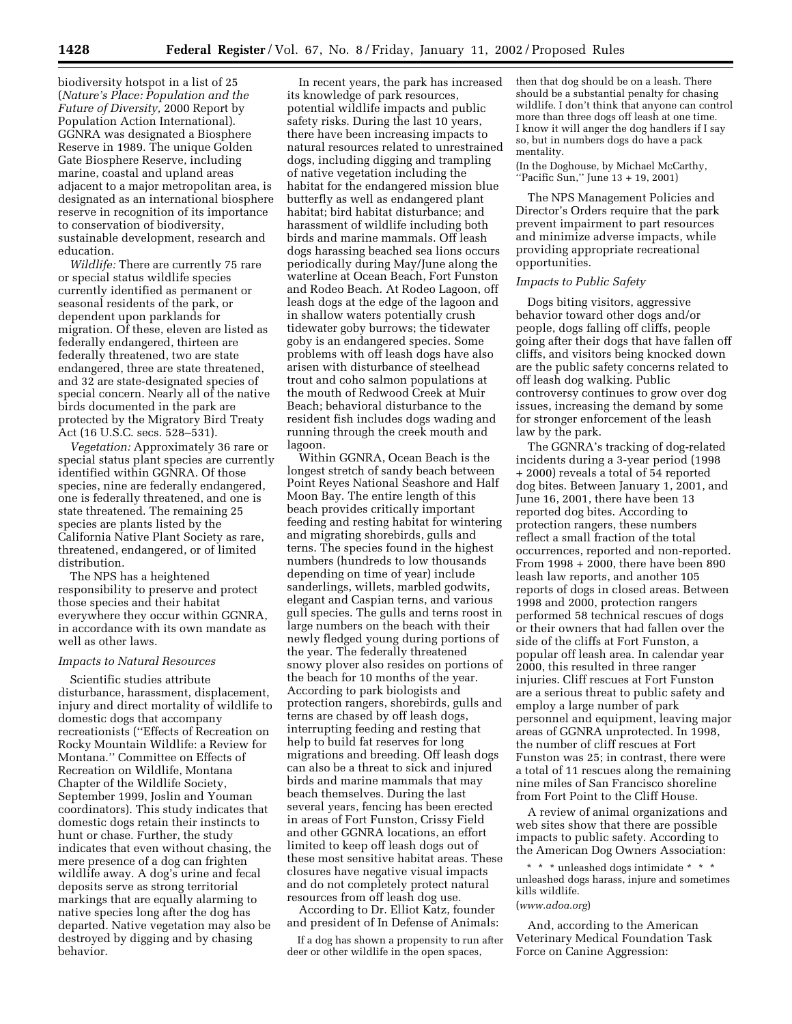biodiversity hotspot in a list of 25 (*Nature's Place: Population and the Future of Diversity,* 2000 Report by Population Action International). GGNRA was designated a Biosphere Reserve in 1989. The unique Golden Gate Biosphere Reserve, including marine, coastal and upland areas adjacent to a major metropolitan area, is designated as an international biosphere reserve in recognition of its importance to conservation of biodiversity, sustainable development, research and education.

*Wildlife:* There are currently 75 rare or special status wildlife species currently identified as permanent or seasonal residents of the park, or dependent upon parklands for migration. Of these, eleven are listed as federally endangered, thirteen are federally threatened, two are state endangered, three are state threatened, and 32 are state-designated species of special concern. Nearly all of the native birds documented in the park are protected by the Migratory Bird Treaty Act (16 U.S.C. secs. 528–531).

*Vegetation:* Approximately 36 rare or special status plant species are currently identified within GGNRA. Of those species, nine are federally endangered, one is federally threatened, and one is state threatened. The remaining 25 species are plants listed by the California Native Plant Society as rare, threatened, endangered, or of limited distribution.

The NPS has a heightened responsibility to preserve and protect those species and their habitat everywhere they occur within GGNRA, in accordance with its own mandate as well as other laws.

## *Impacts to Natural Resources*

Scientific studies attribute disturbance, harassment, displacement, injury and direct mortality of wildlife to domestic dogs that accompany recreationists (''Effects of Recreation on Rocky Mountain Wildlife: a Review for Montana.'' Committee on Effects of Recreation on Wildlife, Montana Chapter of the Wildlife Society, September 1999, Joslin and Youman coordinators). This study indicates that domestic dogs retain their instincts to hunt or chase. Further, the study indicates that even without chasing, the mere presence of a dog can frighten wildlife away. A dog's urine and fecal deposits serve as strong territorial markings that are equally alarming to native species long after the dog has departed. Native vegetation may also be destroyed by digging and by chasing behavior.

In recent years, the park has increased its knowledge of park resources, potential wildlife impacts and public safety risks. During the last 10 years, there have been increasing impacts to natural resources related to unrestrained dogs, including digging and trampling of native vegetation including the habitat for the endangered mission blue butterfly as well as endangered plant habitat; bird habitat disturbance; and harassment of wildlife including both birds and marine mammals. Off leash dogs harassing beached sea lions occurs periodically during May/June along the waterline at Ocean Beach, Fort Funston and Rodeo Beach. At Rodeo Lagoon, off leash dogs at the edge of the lagoon and in shallow waters potentially crush tidewater goby burrows; the tidewater goby is an endangered species. Some problems with off leash dogs have also arisen with disturbance of steelhead trout and coho salmon populations at the mouth of Redwood Creek at Muir Beach; behavioral disturbance to the resident fish includes dogs wading and running through the creek mouth and lagoon.

Within GGNRA, Ocean Beach is the longest stretch of sandy beach between Point Reyes National Seashore and Half Moon Bay. The entire length of this beach provides critically important feeding and resting habitat for wintering and migrating shorebirds, gulls and terns. The species found in the highest numbers (hundreds to low thousands depending on time of year) include sanderlings, willets, marbled godwits, elegant and Caspian terns, and various gull species. The gulls and terns roost in large numbers on the beach with their newly fledged young during portions of the year. The federally threatened snowy plover also resides on portions of the beach for 10 months of the year. According to park biologists and protection rangers, shorebirds, gulls and terns are chased by off leash dogs, interrupting feeding and resting that help to build fat reserves for long migrations and breeding. Off leash dogs can also be a threat to sick and injured birds and marine mammals that may beach themselves. During the last several years, fencing has been erected in areas of Fort Funston, Crissy Field and other GGNRA locations, an effort limited to keep off leash dogs out of these most sensitive habitat areas. These closures have negative visual impacts and do not completely protect natural resources from off leash dog use.

According to Dr. Elliot Katz, founder and president of In Defense of Animals:

If a dog has shown a propensity to run after deer or other wildlife in the open spaces,

then that dog should be on a leash. There should be a substantial penalty for chasing wildlife. I don't think that anyone can control more than three dogs off leash at one time. I know it will anger the dog handlers if I say so, but in numbers dogs do have a pack mentality.

(In the Doghouse, by Michael McCarthy, ''Pacific Sun,'' June 13 + 19, 2001)

The NPS Management Policies and Director's Orders require that the park prevent impairment to part resources and minimize adverse impacts, while providing appropriate recreational opportunities.

## *Impacts to Public Safety*

Dogs biting visitors, aggressive behavior toward other dogs and/or people, dogs falling off cliffs, people going after their dogs that have fallen off cliffs, and visitors being knocked down are the public safety concerns related to off leash dog walking. Public controversy continues to grow over dog issues, increasing the demand by some for stronger enforcement of the leash law by the park.

The GGNRA's tracking of dog-related incidents during a 3-year period (1998 + 2000) reveals a total of 54 reported dog bites. Between January 1, 2001, and June 16, 2001, there have been 13 reported dog bites. According to protection rangers, these numbers reflect a small fraction of the total occurrences, reported and non-reported. From 1998 + 2000, there have been 890 leash law reports, and another 105 reports of dogs in closed areas. Between 1998 and 2000, protection rangers performed 58 technical rescues of dogs or their owners that had fallen over the side of the cliffs at Fort Funston, a popular off leash area. In calendar year 2000, this resulted in three ranger injuries. Cliff rescues at Fort Funston are a serious threat to public safety and employ a large number of park personnel and equipment, leaving major areas of GGNRA unprotected. In 1998, the number of cliff rescues at Fort Funston was 25; in contrast, there were a total of 11 rescues along the remaining nine miles of San Francisco shoreline from Fort Point to the Cliff House.

A review of animal organizations and web sites show that there are possible impacts to public safety. According to the American Dog Owners Association:

 $^{\star}$   $^{\star}$   $^{\star}$  unleashed dogs intimidate  $^{\star}$   $^{\star}$   $^{\star}$ unleashed dogs harass, injure and sometimes kills wildlife.

#### (*www.adoa.org*)

And, according to the American Veterinary Medical Foundation Task Force on Canine Aggression: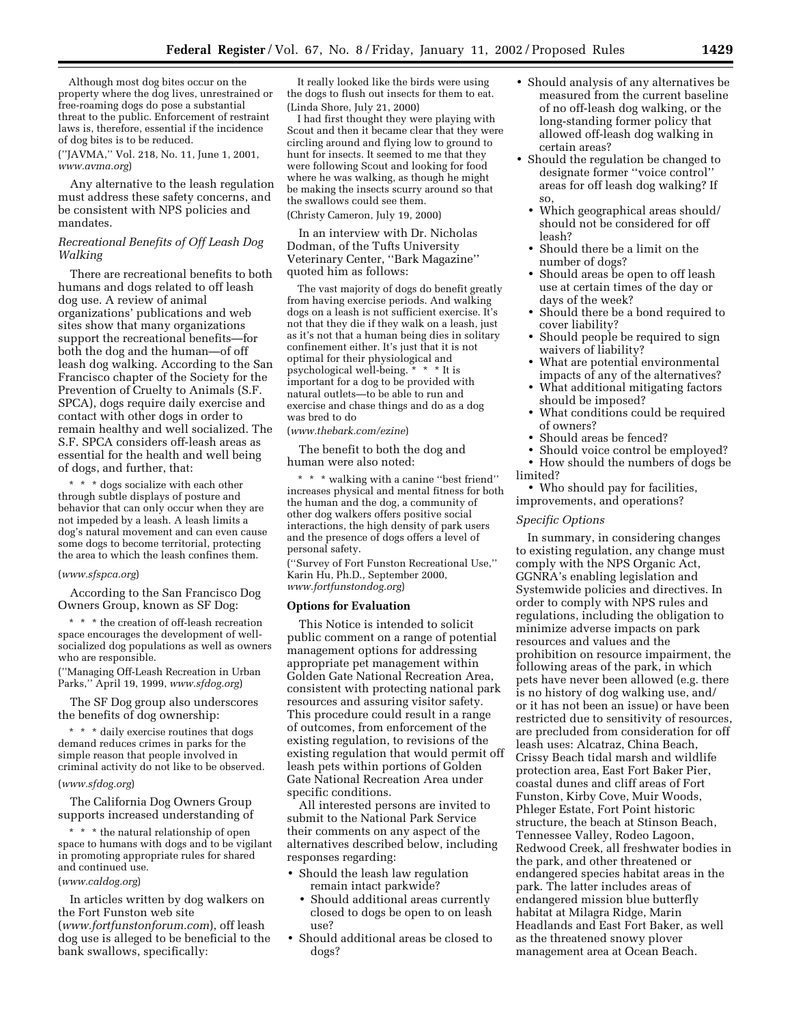Although most dog bites occur on the property where the dog lives, unrestrained or free-roaming dogs do pose a substantial threat to the public. Enforcement of restraint laws is, therefore, essential if the incidence of dog bites is to be reduced.

(''JAVMA,'' Vol. 218, No. 11, June 1, 2001, *www.avma.org*)

Any alternative to the leash regulation must address these safety concerns, and be consistent with NPS policies and mandates.

# *Recreational Benefits of Off Leash Dog Walking*

There are recreational benefits to both humans and dogs related to off leash dog use. A review of animal organizations' publications and web sites show that many organizations support the recreational benefits—for both the dog and the human—of off leash dog walking. According to the San Francisco chapter of the Society for the Prevention of Cruelty to Animals (S.F. SPCA), dogs require daily exercise and contact with other dogs in order to remain healthy and well socialized. The S.F. SPCA considers off-leash areas as essential for the health and well being of dogs, and further, that:

\* \* \* dogs socialize with each other through subtle displays of posture and behavior that can only occur when they are not impeded by a leash. A leash limits a dog's natural movement and can even cause some dogs to become territorial, protecting the area to which the leash confines them.

#### (*www.sfspca.org*)

According to the San Francisco Dog Owners Group, known as SF Dog:

\* \* \* the creation of off-leash recreation space encourages the development of wellsocialized dog populations as well as owners who are responsible.

(''Managing Off-Leash Recreation in Urban Parks,'' April 19, 1999, *www.sfdog.org*)

The SF Dog group also underscores the benefits of dog ownership:

\* \* \* daily exercise routines that dogs demand reduces crimes in parks for the simple reason that people involved in criminal activity do not like to be observed.

# (*www.sfdog.org*)

The California Dog Owners Group supports increased understanding of

\* \* \* the natural relationship of open space to humans with dogs and to be vigilant in promoting appropriate rules for shared and continued use.

# (*www.caldog.org*)

In articles written by dog walkers on the Fort Funston web site (*www.fortfunstonforum.com*), off leash dog use is alleged to be beneficial to the bank swallows, specifically:

It really looked like the birds were using the dogs to flush out insects for them to eat. (Linda Shore, July 21, 2000)

I had first thought they were playing with Scout and then it became clear that they were circling around and flying low to ground to hunt for insects. It seemed to me that they were following Scout and looking for food where he was walking, as though he might be making the insects scurry around so that the swallows could see them. (Christy Cameron, July 19, 2000)

In an interview with Dr. Nicholas Dodman, of the Tufts University Veterinary Center, ''Bark Magazine'' quoted him as follows:

The vast majority of dogs do benefit greatly from having exercise periods. And walking dogs on a leash is not sufficient exercise. It's not that they die if they walk on a leash, just as it's not that a human being dies in solitary confinement either. It's just that it is not optimal for their physiological and psychological well-being. \* \* \* It is important for a dog to be provided with natural outlets—to be able to run and exercise and chase things and do as a dog was bred to do

# (*www.thebark.com/ezine*)

The benefit to both the dog and human were also noted:

\* \* \* walking with a canine ''best friend'' increases physical and mental fitness for both the human and the dog, a community of other dog walkers offers positive social interactions, the high density of park users and the presence of dogs offers a level of personal safety.

(''Survey of Fort Funston Recreational Use,'' Karin Hu, Ph.D., September 2000, *www.fortfunstondog.org*)

#### **Options for Evaluation**

This Notice is intended to solicit public comment on a range of potential management options for addressing appropriate pet management within Golden Gate National Recreation Area, consistent with protecting national park resources and assuring visitor safety. This procedure could result in a range of outcomes, from enforcement of the existing regulation, to revisions of the existing regulation that would permit off leash pets within portions of Golden Gate National Recreation Area under specific conditions.

All interested persons are invited to submit to the National Park Service their comments on any aspect of the alternatives described below, including responses regarding:

- Should the leash law regulation remain intact parkwide?
	- Should additional areas currently closed to dogs be open to on leash use?
- Should additional areas be closed to dogs?
- Should analysis of any alternatives be measured from the current baseline of no off-leash dog walking, or the long-standing former policy that allowed off-leash dog walking in certain areas?
- Should the regulation be changed to designate former ''voice control'' areas for off leash dog walking? If so,
	- Which geographical areas should/ should not be considered for off leash?
	- Should there be a limit on the number of dogs?
	- Should areas be open to off leash use at certain times of the day or days of the week?
	- Should there be a bond required to cover liability?
	- Should people be required to sign waivers of liability?
	- What are potential environmental impacts of any of the alternatives?
	- What additional mitigating factors should be imposed?
	- What conditions could be required of owners?
	- Should areas be fenced?
	- Should voice control be employed?
	- How should the numbers of dogs be
- limited?

• Who should pay for facilities, improvements, and operations?

#### *Specific Options*

In summary, in considering changes to existing regulation, any change must comply with the NPS Organic Act, GGNRA's enabling legislation and Systemwide policies and directives. In order to comply with NPS rules and regulations, including the obligation to minimize adverse impacts on park resources and values and the prohibition on resource impairment, the following areas of the park, in which pets have never been allowed (e.g. there is no history of dog walking use, and/ or it has not been an issue) or have been restricted due to sensitivity of resources, are precluded from consideration for off leash uses: Alcatraz, China Beach, Crissy Beach tidal marsh and wildlife protection area, East Fort Baker Pier, coastal dunes and cliff areas of Fort Funston, Kirby Cove, Muir Woods, Phleger Estate, Fort Point historic structure, the beach at Stinson Beach, Tennessee Valley, Rodeo Lagoon, Redwood Creek, all freshwater bodies in the park, and other threatened or endangered species habitat areas in the park. The latter includes areas of endangered mission blue butterfly habitat at Milagra Ridge, Marin Headlands and East Fort Baker, as well as the threatened snowy plover management area at Ocean Beach.